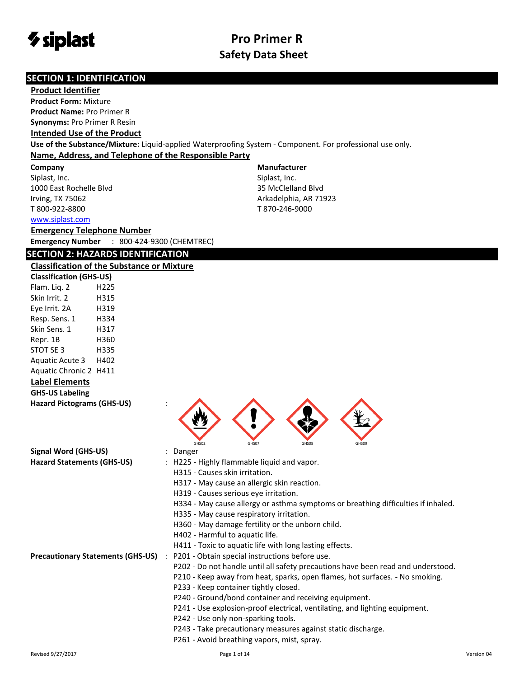

**Manufacturer** Siplast, Inc. 35 McClelland Blvd Arkadelphia, AR 71923 T 870-246-9000

#### **SECTION 1: IDENTIFICATION**

#### **Product Identifier**

**Product Form:** Mixture **Product Name:** Pro Primer R **Synonyms:** Pro Primer R Resin

#### **Intended Use of the Product**

**Use of the Substance/Mixture:** Liquid-applied Waterproofing System - Component. For professional use only. **Name, Address, and Telephone of the Responsible Party**

**Company** 

Siplast, Inc. 1000 East Rochelle Blvd Irving, TX 75062 T 800-922-8800

[www.siplast.com](../../../../AppData/Local/Temp/www.siplast.com)

### **Emergency Telephone Number**

**Emergency Number** : 800-424-9300 (CHEMTREC)

### **SECTION 2: HAZARDS IDENTIFICATION**

#### **Classification of the Substance or Mixture**

| <b>Classification (GHS-US)</b> |      |  |
|--------------------------------|------|--|
| Flam. Lig. 2                   | H225 |  |
| Skin Irrit. 2                  | H315 |  |
| Eye Irrit. 2A                  | H319 |  |
| Resp. Sens. 1                  | H334 |  |
| Skin Sens. 1                   | H317 |  |
| Repr. 1B                       | H360 |  |
| STOT SE 3                      | H335 |  |
| <b>Aquatic Acute 3</b>         | H402 |  |
| <b>Aquatic Chronic 2</b>       | H411 |  |
|                                |      |  |

### **Label Elements**

|  | <b>GHS-US Labeling</b> |
|--|------------------------|
|--|------------------------|

| <b>Hazard Pictograms (GHS-US)</b>        |                                                                                   |
|------------------------------------------|-----------------------------------------------------------------------------------|
| Signal Word (GHS-US)                     | GHS02<br>GHS08<br>GHS07<br>GHS09<br>: Danger                                      |
| <b>Hazard Statements (GHS-US)</b>        | : H225 - Highly flammable liquid and vapor.                                       |
|                                          | H315 - Causes skin irritation.                                                    |
|                                          | H317 - May cause an allergic skin reaction.                                       |
|                                          | H319 - Causes serious eve irritation.                                             |
|                                          | H334 - May cause allergy or asthma symptoms or breathing difficulties if inhaled. |
|                                          | H335 - May cause respiratory irritation.                                          |
|                                          | H360 - May damage fertility or the unborn child.                                  |
|                                          | H402 - Harmful to aquatic life.                                                   |
|                                          | H411 - Toxic to aquatic life with long lasting effects.                           |
| <b>Precautionary Statements (GHS-US)</b> | : P201 - Obtain special instructions before use.                                  |
|                                          | Do not handle until all cafety preceptions house hoop read and understand         |

- P202 Do not handle until all safety precautions have been read and understood.
- P210 Keep away from heat, sparks, open flames, hot surfaces. No smoking.
- P233 Keep container tightly closed.
- P240 Ground/bond container and receiving equipment.
- P241 Use explosion-proof electrical, ventilating, and lighting equipment.
- P242 Use only non-sparking tools.
- P243 Take precautionary measures against static discharge.
- P261 Avoid breathing vapors, mist, spray.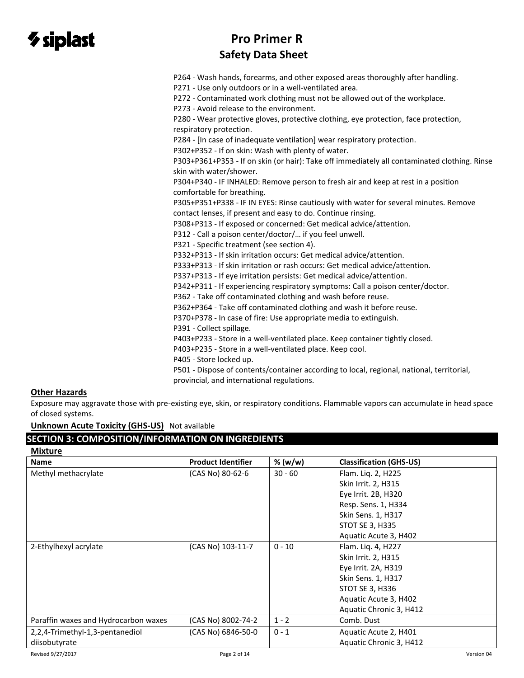# $\gamma$  siplast

# **Pro Primer R Safety Data Sheet**

P264 - Wash hands, forearms, and other exposed areas thoroughly after handling.

P271 - Use only outdoors or in a well-ventilated area.

P272 - Contaminated work clothing must not be allowed out of the workplace.

P273 - Avoid release to the environment.

P280 - Wear protective gloves, protective clothing, eye protection, face protection, respiratory protection.

P284 - [In case of inadequate ventilation] wear respiratory protection.

P302+P352 - If on skin: Wash with plenty of water.

P303+P361+P353 - If on skin (or hair): Take off immediately all contaminated clothing. Rinse skin with water/shower.

P304+P340 - IF INHALED: Remove person to fresh air and keep at rest in a position comfortable for breathing.

P305+P351+P338 - IF IN EYES: Rinse cautiously with water for several minutes. Remove contact lenses, if present and easy to do. Continue rinsing.

P308+P313 - If exposed or concerned: Get medical advice/attention.

P312 - Call a poison center/doctor/… if you feel unwell.

P321 - Specific treatment (see section 4).

P332+P313 - If skin irritation occurs: Get medical advice/attention.

P333+P313 - If skin irritation or rash occurs: Get medical advice/attention.

P337+P313 - If eye irritation persists: Get medical advice/attention.

P342+P311 - If experiencing respiratory symptoms: Call a poison center/doctor.

P362 - Take off contaminated clothing and wash before reuse.

P362+P364 - Take off contaminated clothing and wash it before reuse.

P370+P378 - In case of fire: Use appropriate media to extinguish.

P391 - Collect spillage.

P403+P233 - Store in a well-ventilated place. Keep container tightly closed.

P403+P235 - Store in a well-ventilated place. Keep cool.

P405 - Store locked up.

P501 - Dispose of contents/container according to local, regional, national, territorial, provincial, and international regulations.

#### **Other Hazards**

**Mixture**

Exposure may aggravate those with pre-existing eye, skin, or respiratory conditions. Flammable vapors can accumulate in head space of closed systems.

**Unknown Acute Toxicity (GHS-US)** Not available

### **SECTION 3: COMPOSITION/INFORMATION ON INGREDIENTS**

| <b>IVIIXTUTE</b>                     |                           |           |                                |
|--------------------------------------|---------------------------|-----------|--------------------------------|
| <b>Name</b>                          | <b>Product Identifier</b> | % (w/w)   | <b>Classification (GHS-US)</b> |
| Methyl methacrylate                  | (CAS No) 80-62-6          | $30 - 60$ | Flam. Liq. 2, H225             |
|                                      |                           |           | Skin Irrit. 2, H315            |
|                                      |                           |           | Eye Irrit. 2B, H320            |
|                                      |                           |           | Resp. Sens. 1, H334            |
|                                      |                           |           | Skin Sens. 1, H317             |
|                                      |                           |           | <b>STOT SE 3, H335</b>         |
|                                      |                           |           | Aquatic Acute 3, H402          |
| 2-Ethylhexyl acrylate                | (CAS No) 103-11-7         | $0 - 10$  | Flam. Liq. 4, H227             |
|                                      |                           |           | Skin Irrit. 2, H315            |
|                                      |                           |           | Eye Irrit. 2A, H319            |
|                                      |                           |           | Skin Sens. 1, H317             |
|                                      |                           |           | STOT SE 3, H336                |
|                                      |                           |           | Aquatic Acute 3, H402          |
|                                      |                           |           | Aquatic Chronic 3, H412        |
| Paraffin waxes and Hydrocarbon waxes | (CAS No) 8002-74-2        | $1 - 2$   | Comb. Dust                     |
| 2,2,4-Trimethyl-1,3-pentanediol      | (CAS No) 6846-50-0        | $0 - 1$   | Aquatic Acute 2, H401          |
| diisobutyrate                        |                           |           | Aquatic Chronic 3, H412        |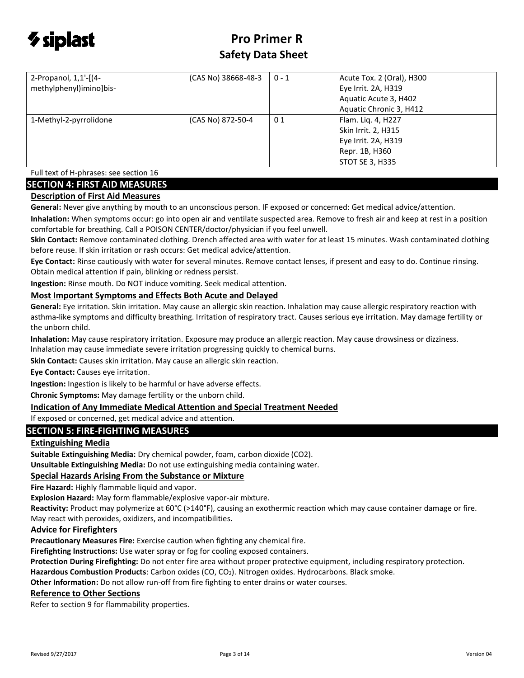

| 2-Propanol, 1,1'-[(4-<br>methylphenyl)imino]bis- | (CAS No) 38668-48-3 | $0 - 1$ | Acute Tox. 2 (Oral), H300<br>Eye Irrit. 2A, H319<br>Aquatic Acute 3, H402<br>Aquatic Chronic 3, H412         |
|--------------------------------------------------|---------------------|---------|--------------------------------------------------------------------------------------------------------------|
| 1-Methyl-2-pyrrolidone                           | (CAS No) 872-50-4   | 01      | Flam. Liq. 4, H227<br>Skin Irrit. 2, H315<br>Eye Irrit. 2A, H319<br>Repr. 1B, H360<br><b>STOT SE 3, H335</b> |

Full text of H-phrases: see section 16

### **SECTION 4: FIRST AID MEASURES**

#### **Description of First Aid Measures**

**General:** Never give anything by mouth to an unconscious person. IF exposed or concerned: Get medical advice/attention.

**Inhalation:** When symptoms occur: go into open air and ventilate suspected area. Remove to fresh air and keep at rest in a position comfortable for breathing. Call a POISON CENTER/doctor/physician if you feel unwell.

**Skin Contact:** Remove contaminated clothing. Drench affected area with water for at least 15 minutes. Wash contaminated clothing before reuse. If skin irritation or rash occurs: Get medical advice/attention.

**Eye Contact:** Rinse cautiously with water for several minutes. Remove contact lenses, if present and easy to do. Continue rinsing. Obtain medical attention if pain, blinking or redness persist.

**Ingestion:** Rinse mouth. Do NOT induce vomiting. Seek medical attention.

#### **Most Important Symptoms and Effects Both Acute and Delayed**

**General:** Eye irritation. Skin irritation. May cause an allergic skin reaction. Inhalation may cause allergic respiratory reaction with asthma-like symptoms and difficulty breathing. Irritation of respiratory tract. Causes serious eye irritation. May damage fertility or the unborn child.

**Inhalation:** May cause respiratory irritation. Exposure may produce an allergic reaction. May cause drowsiness or dizziness. Inhalation may cause immediate severe irritation progressing quickly to chemical burns.

**Skin Contact:** Causes skin irritation. May cause an allergic skin reaction.

**Eye Contact:** Causes eye irritation.

**Ingestion:** Ingestion is likely to be harmful or have adverse effects.

**Chronic Symptoms:** May damage fertility or the unborn child.

#### **Indication of Any Immediate Medical Attention and Special Treatment Needed**

If exposed or concerned, get medical advice and attention.

#### **SECTION 5: FIRE-FIGHTING MEASURES**

#### **Extinguishing Media**

**Suitable Extinguishing Media:** Dry chemical powder, foam, carbon dioxide (CO2).

**Unsuitable Extinguishing Media:** Do not use extinguishing media containing water.

#### **Special Hazards Arising From the Substance or Mixture**

**Fire Hazard:** Highly flammable liquid and vapor.

**Explosion Hazard:** May form flammable/explosive vapor-air mixture.

**Reactivity:** Product may polymerize at 60°C (>140°F), causing an exothermic reaction which may cause container damage or fire. May react with peroxides, oxidizers, and incompatibilities.

#### **Advice for Firefighters**

**Precautionary Measures Fire:** Exercise caution when fighting any chemical fire.

**Firefighting Instructions:** Use water spray or fog for cooling exposed containers.

**Protection During Firefighting:** Do not enter fire area without proper protective equipment, including respiratory protection.

**Hazardous Combustion Products**: Carbon oxides (CO, CO2). Nitrogen oxides. Hydrocarbons. Black smoke.

**Other Information:** Do not allow run-off from fire fighting to enter drains or water courses.

#### **Reference to Other Sections**

Refer to section 9 for flammability properties.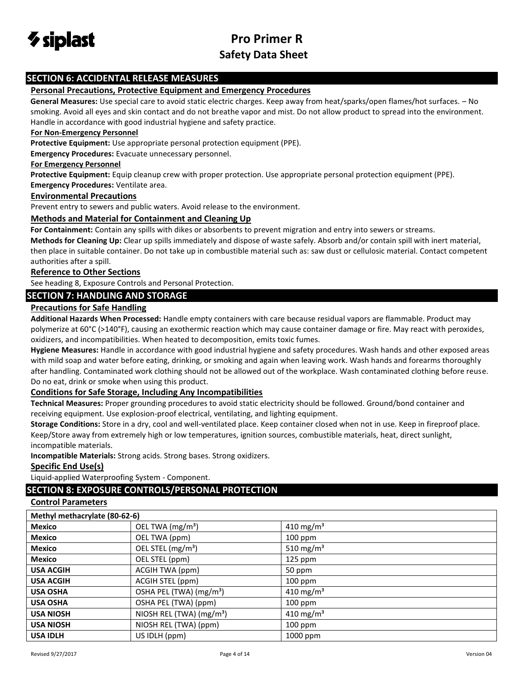

### **SECTION 6: ACCIDENTAL RELEASE MEASURES**

#### **Personal Precautions, Protective Equipment and Emergency Procedures**

**General Measures:** Use special care to avoid static electric charges. Keep away from heat/sparks/open flames/hot surfaces. – No smoking. Avoid all eyes and skin contact and do not breathe vapor and mist. Do not allow product to spread into the environment. Handle in accordance with good industrial hygiene and safety practice.

#### **For Non-Emergency Personnel**

**Protective Equipment:** Use appropriate personal protection equipment (PPE).

**Emergency Procedures:** Evacuate unnecessary personnel.

#### **For Emergency Personnel**

**Protective Equipment:** Equip cleanup crew with proper protection. Use appropriate personal protection equipment (PPE).

**Emergency Procedures:** Ventilate area.

#### **Environmental Precautions**

Prevent entry to sewers and public waters. Avoid release to the environment.

#### **Methods and Material for Containment and Cleaning Up**

**For Containment:** Contain any spills with dikes or absorbents to prevent migration and entry into sewers or streams.

**Methods for Cleaning Up:** Clear up spills immediately and dispose of waste safely. Absorb and/or contain spill with inert material, then place in suitable container. Do not take up in combustible material such as: saw dust or cellulosic material. Contact competent authorities after a spill.

#### **Reference to Other Sections**

See heading 8, Exposure Controls and Personal Protection.

#### **SECTION 7: HANDLING AND STORAGE**

#### **Precautions for Safe Handling**

**Additional Hazards When Processed:** Handle empty containers with care because residual vapors are flammable. Product may polymerize at 60°C (>140°F), causing an exothermic reaction which may cause container damage or fire. May react with peroxides, oxidizers, and incompatibilities. When heated to decomposition, emits toxic fumes.

**Hygiene Measures:** Handle in accordance with good industrial hygiene and safety procedures. Wash hands and other exposed areas with mild soap and water before eating, drinking, or smoking and again when leaving work. Wash hands and forearms thoroughly after handling. Contaminated work clothing should not be allowed out of the workplace. Wash contaminated clothing before reuse. Do no eat, drink or smoke when using this product.

#### **Conditions for Safe Storage, Including Any Incompatibilities**

**Technical Measures:** Proper grounding procedures to avoid static electricity should be followed. Ground/bond container and receiving equipment. Use explosion-proof electrical, ventilating, and lighting equipment.

**Storage Conditions:** Store in a dry, cool and well-ventilated place. Keep container closed when not in use. Keep in fireproof place. Keep/Store away from extremely high or low temperatures, ignition sources, combustible materials, heat, direct sunlight, incompatible materials.

**Incompatible Materials:** Strong acids. Strong bases. Strong oxidizers.

#### **Specific End Use(s)**

Liquid-applied Waterproofing System - Component.

#### **SECTION 8: EXPOSURE CONTROLS/PERSONAL PROTECTION**

#### **Control Parameters**

| Methyl methacrylate (80-62-6) |                                      |                       |
|-------------------------------|--------------------------------------|-----------------------|
| <b>Mexico</b>                 | OEL TWA (mg/m <sup>3</sup> )         | 410 mg/m <sup>3</sup> |
| <b>Mexico</b>                 | OEL TWA (ppm)                        | $100$ ppm             |
| <b>Mexico</b>                 | OEL STEL (mg/m <sup>3</sup> )        | 510 mg/m <sup>3</sup> |
| <b>Mexico</b>                 | OEL STEL (ppm)                       | 125 ppm               |
| <b>USA ACGIH</b>              | ACGIH TWA (ppm)                      | 50 ppm                |
| <b>USA ACGIH</b>              | ACGIH STEL (ppm)                     | $100$ ppm             |
| <b>USA OSHA</b>               | OSHA PEL (TWA) (mg/m <sup>3</sup> )  | 410 mg/m <sup>3</sup> |
| <b>USA OSHA</b>               | OSHA PEL (TWA) (ppm)                 | $100$ ppm             |
| <b>USA NIOSH</b>              | NIOSH REL (TWA) (mg/m <sup>3</sup> ) | 410 mg/m <sup>3</sup> |
| <b>USA NIOSH</b>              | NIOSH REL (TWA) (ppm)                | $100$ ppm             |
| <b>USA IDLH</b>               | US IDLH (ppm)                        | 1000 ppm              |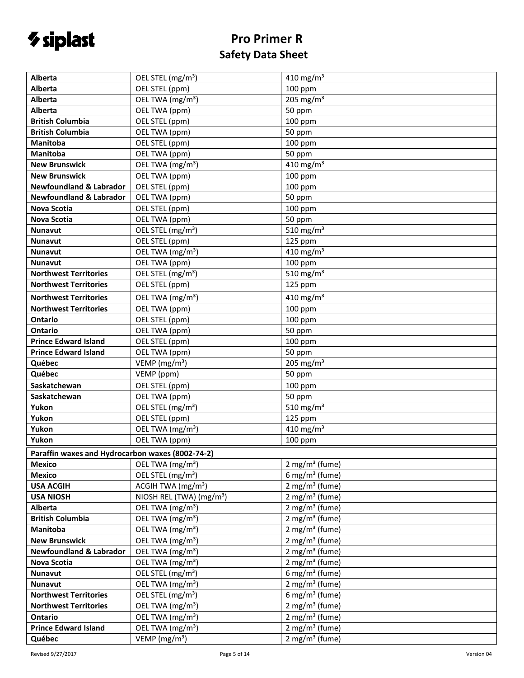# *V* siplast

# **Pro Primer R Safety Data Sheet**

| Alberta                                          | OEL STEL (mg/m <sup>3</sup> )        | 410 mg/m <sup>3</sup>              |
|--------------------------------------------------|--------------------------------------|------------------------------------|
| Alberta                                          | OEL STEL (ppm)                       | 100 ppm                            |
| <b>Alberta</b>                                   | OEL TWA (mg/m <sup>3</sup> )         | 205 mg/m $3$                       |
| Alberta                                          | OEL TWA (ppm)                        | 50 ppm                             |
| <b>British Columbia</b>                          | OEL STEL (ppm)                       | $100$ ppm                          |
| <b>British Columbia</b>                          | OEL TWA (ppm)                        | 50 ppm                             |
| <b>Manitoba</b>                                  | OEL STEL (ppm)                       | 100 ppm                            |
| <b>Manitoba</b>                                  | OEL TWA (ppm)                        | 50 ppm                             |
| <b>New Brunswick</b>                             | OEL TWA (mg/m <sup>3</sup> )         | 410 mg/m <sup>3</sup>              |
| <b>New Brunswick</b>                             | OEL TWA (ppm)                        | 100 ppm                            |
| <b>Newfoundland &amp; Labrador</b>               | OEL STEL (ppm)                       | 100 ppm                            |
| <b>Newfoundland &amp; Labrador</b>               | OEL TWA (ppm)                        | 50 ppm                             |
| Nova Scotia                                      | OEL STEL (ppm)                       | $100$ ppm                          |
| <b>Nova Scotia</b>                               | OEL TWA (ppm)                        | 50 ppm                             |
| <b>Nunavut</b>                                   | OEL STEL (mg/m <sup>3</sup> )        | 510 mg/m $3$                       |
| <b>Nunavut</b>                                   | OEL STEL (ppm)                       | 125 ppm                            |
| Nunavut                                          | OEL TWA (mg/m <sup>3</sup> )         | 410 mg/m $3$                       |
| <b>Nunavut</b>                                   | OEL TWA (ppm)                        | 100 ppm                            |
| <b>Northwest Territories</b>                     | OEL STEL (mg/m <sup>3</sup> )        | $\overline{510}$ mg/m <sup>3</sup> |
| <b>Northwest Territories</b>                     | OEL STEL (ppm)                       | 125 ppm                            |
| <b>Northwest Territories</b>                     | OEL TWA (mg/m <sup>3</sup> )         | 410 mg/m <sup>3</sup>              |
| <b>Northwest Territories</b>                     | OEL TWA (ppm)                        | 100 ppm                            |
| <b>Ontario</b>                                   | OEL STEL (ppm)                       | $100$ ppm                          |
| Ontario                                          | OEL TWA (ppm)                        | 50 ppm                             |
| <b>Prince Edward Island</b>                      | OEL STEL (ppm)                       | $100$ ppm                          |
| <b>Prince Edward Island</b>                      | OEL TWA (ppm)                        | 50 ppm                             |
| Québec                                           | VEMP ( $mg/m3$ )                     | 205 mg/m <sup>3</sup>              |
| Québec                                           | VEMP (ppm)                           | 50 ppm                             |
| Saskatchewan                                     | OEL STEL (ppm)                       | 100 ppm                            |
| Saskatchewan                                     | OEL TWA (ppm)                        | 50 ppm                             |
| Yukon                                            | OEL STEL (mg/m <sup>3</sup> )        | 510 mg/m <sup>3</sup>              |
| Yukon                                            | OEL STEL (ppm)                       | 125 ppm                            |
| Yukon                                            | OEL TWA (mg/m <sup>3</sup> )         | $\frac{410 \text{ mg}}{\text{m}}$  |
| Yukon                                            | OEL TWA (ppm)                        | $100$ ppm                          |
| Paraffin waxes and Hydrocarbon waxes (8002-74-2) |                                      |                                    |
| <b>Mexico</b>                                    | OEL TWA (mg/m <sup>3</sup> )         | $2$ mg/m <sup>3</sup> (fume)       |
| <b>Mexico</b>                                    | OEL STEL (mg/m <sup>3</sup> )        | 6 mg/m <sup>3</sup> (fume)         |
| <b>USA ACGIH</b>                                 | ACGIH TWA (mg/m <sup>3</sup> )       | $2$ mg/m <sup>3</sup> (fume)       |
| <b>USA NIOSH</b>                                 | NIOSH REL (TWA) (mg/m <sup>3</sup> ) | $2$ mg/m <sup>3</sup> (fume)       |
| <b>Alberta</b>                                   | OEL TWA (mg/m <sup>3</sup> )         | $2$ mg/m <sup>3</sup> (fume)       |
| <b>British Columbia</b>                          | OEL TWA (mg/m <sup>3</sup> )         | $2$ mg/m <sup>3</sup> (fume)       |
| Manitoba                                         | OEL TWA (mg/m <sup>3</sup> )         | $2$ mg/m <sup>3</sup> (fume)       |
| <b>New Brunswick</b>                             | OEL TWA (mg/m <sup>3</sup> )         | $2$ mg/m <sup>3</sup> (fume)       |
| <b>Newfoundland &amp; Labrador</b>               | OEL TWA (mg/m <sup>3</sup> )         | $2$ mg/m <sup>3</sup> (fume)       |
| <b>Nova Scotia</b>                               | OEL TWA (mg/m <sup>3</sup> )         | $2$ mg/m <sup>3</sup> (fume)       |
| <b>Nunavut</b>                                   | OEL STEL (mg/m <sup>3</sup> )        | 6 mg/m <sup>3</sup> (fume)         |
| <b>Nunavut</b>                                   | OEL TWA (mg/m <sup>3</sup> )         | $2$ mg/m <sup>3</sup> (fume)       |
| <b>Northwest Territories</b>                     | OEL STEL (mg/m <sup>3</sup> )        | 6 mg/m <sup>3</sup> (fume)         |
| <b>Northwest Territories</b>                     | OEL TWA (mg/m <sup>3</sup> )         | $2$ mg/m <sup>3</sup> (fume)       |
| Ontario                                          | OEL TWA (mg/m <sup>3</sup> )         | $2$ mg/m <sup>3</sup> (fume)       |
| <b>Prince Edward Island</b>                      | OEL TWA (mg/m <sup>3</sup> )         | $2$ mg/m <sup>3</sup> (fume)       |
| Québec                                           | VEMP (mg/m <sup>3</sup> )            | $2$ mg/m <sup>3</sup> (fume)       |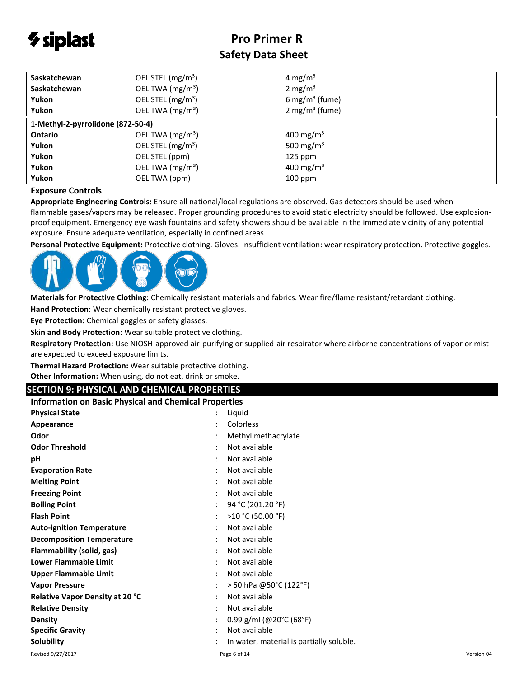

| Saskatchewan                      | OEL STEL (mg/m <sup>3</sup> ) | 4 mg/m <sup>3</sup>          |
|-----------------------------------|-------------------------------|------------------------------|
| Saskatchewan                      | OEL TWA (mg/m <sup>3</sup> )  | 2 mg/ $m3$                   |
| Yukon                             | OEL STEL (mg/m <sup>3</sup> ) | 6 mg/m <sup>3</sup> (fume)   |
| Yukon                             | OEL TWA (mg/m <sup>3</sup> )  | $2$ mg/m <sup>3</sup> (fume) |
| 1-Methyl-2-pyrrolidone (872-50-4) |                               |                              |
| Ontario                           | OEL TWA (mg/m <sup>3</sup> )  | 400 mg/m <sup>3</sup>        |
| Yukon                             | OEL STEL (mg/m <sup>3</sup> ) | 500 mg/m <sup>3</sup>        |
| Yukon                             | OEL STEL (ppm)                | $125$ ppm                    |
| Yukon                             | OEL TWA (mg/m <sup>3</sup> )  | 400 mg/m <sup>3</sup>        |
| Yukon                             | OEL TWA (ppm)                 | $100$ ppm                    |

#### **Exposure Controls**

**Appropriate Engineering Controls:** Ensure all national/local regulations are observed. Gas detectors should be used when flammable gases/vapors may be released. Proper grounding procedures to avoid static electricity should be followed. Use explosionproof equipment. Emergency eye wash fountains and safety showers should be available in the immediate vicinity of any potential exposure. Ensure adequate ventilation, especially in confined areas.

**Personal Protective Equipment:** Protective clothing. Gloves. Insufficient ventilation: wear respiratory protection. Protective goggles.



**Materials for Protective Clothing:** Chemically resistant materials and fabrics. Wear fire/flame resistant/retardant clothing.

**Hand Protection:** Wear chemically resistant protective gloves.

**Eye Protection:** Chemical goggles or safety glasses.

**Skin and Body Protection:** Wear suitable protective clothing.

**Respiratory Protection:** Use NIOSH-approved air-purifying or supplied-air respirator where airborne concentrations of vapor or mist are expected to exceed exposure limits.

**Thermal Hazard Protection:** Wear suitable protective clothing.

**Other Information:** When using, do not eat, drink or smoke.

#### **SECTION 9: PHYSICAL AND CHEMICAL PROPERTIES**

**Information on Basic Physical and Chemical Properties**

| <b>Physical State</b>                  | Liquid<br>$\ddot{\cdot}$                 |            |
|----------------------------------------|------------------------------------------|------------|
| Appearance                             | Colorless                                |            |
| Odor                                   | Methyl methacrylate                      |            |
| <b>Odor Threshold</b>                  | Not available                            |            |
| рH                                     | Not available<br>٠                       |            |
| <b>Evaporation Rate</b>                | Not available                            |            |
| <b>Melting Point</b>                   | Not available                            |            |
| <b>Freezing Point</b>                  | Not available                            |            |
| <b>Boiling Point</b>                   | 94 °C (201.20 °F)                        |            |
| <b>Flash Point</b>                     | >10 °C (50.00 °F)                        |            |
| <b>Auto-ignition Temperature</b>       | Not available                            |            |
| <b>Decomposition Temperature</b>       | Not available                            |            |
| Flammability (solid, gas)              | Not available                            |            |
| <b>Lower Flammable Limit</b>           | Not available                            |            |
| <b>Upper Flammable Limit</b>           | Not available                            |            |
| <b>Vapor Pressure</b>                  | > 50 hPa @50°C (122°F)                   |            |
| <b>Relative Vapor Density at 20 °C</b> | Not available<br>٠                       |            |
| <b>Relative Density</b>                | Not available                            |            |
| <b>Density</b>                         | 0.99 g/ml (@20°C (68°F)                  |            |
| <b>Specific Gravity</b>                | Not available                            |            |
| <b>Solubility</b>                      | In water, material is partially soluble. |            |
| Revised 9/27/2017                      | Page 6 of 14                             | Version 04 |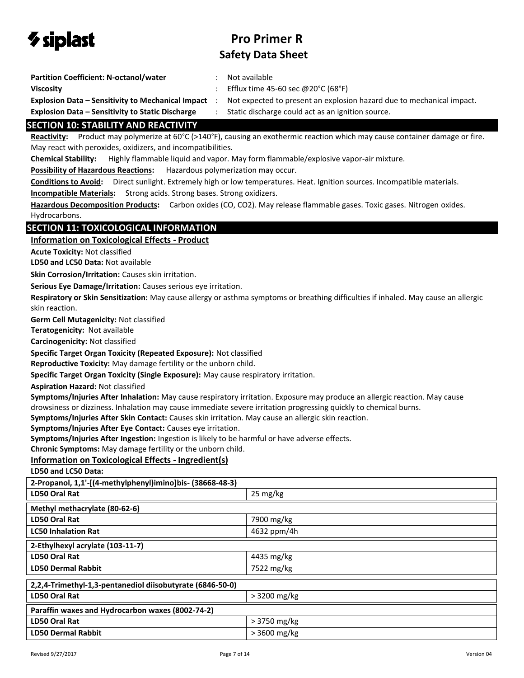

- **Participal Coefficient:** Not available
- **Viscosity CONFIDENTIFY CONTROLLY CONTROLLY SET EXECUTE 25-60 sec @20°C (68°F)**

**Explosion Data – Sensitivity to Mechanical Impact** : Not expected to present an explosion hazard due to mechanical impact.

**Explosion Data – Sensitivity to Static Discharge** : Static discharge could act as an ignition source.

### **SECTION 10: STABILITY AND REACTIVITY**

**Reactivity:** Product may polymerize at 60°C (>140°F), causing an exothermic reaction which may cause container damage or fire. May react with peroxides, oxidizers, and incompatibilities.

**Chemical Stability:** Highly flammable liquid and vapor. May form flammable/explosive vapor-air mixture.

**Possibility of Hazardous Reactions:** Hazardous polymerization may occur.

**Conditions to Avoid:** Direct sunlight. Extremely high or low temperatures. Heat. Ignition sources. Incompatible materials. **Incompatible Materials:** Strong acids. Strong bases. Strong oxidizers.

**Hazardous Decomposition Products:** Carbon oxides (CO, CO2). May release flammable gases. Toxic gases. Nitrogen oxides. Hydrocarbons.

### **SECTION 11: TOXICOLOGICAL INFORMATION**

#### **Information on Toxicological Effects - Product**

**Acute Toxicity:** Not classified

**LD50 and LC50 Data:** Not available

**Skin Corrosion/Irritation:** Causes skin irritation.

**Serious Eye Damage/Irritation:** Causes serious eye irritation.

**Respiratory or Skin Sensitization:** May cause allergy or asthma symptoms or breathing difficulties if inhaled. May cause an allergic skin reaction.

**Germ Cell Mutagenicity:** Not classified

**Teratogenicity:** Not available

**Carcinogenicity:** Not classified

**Specific Target Organ Toxicity (Repeated Exposure):** Not classified

**Reproductive Toxicity:** May damage fertility or the unborn child.

**Specific Target Organ Toxicity (Single Exposure):** May cause respiratory irritation.

**Aspiration Hazard:** Not classified

**Symptoms/Injuries After Inhalation:** May cause respiratory irritation. Exposure may produce an allergic reaction. May cause drowsiness or dizziness. Inhalation may cause immediate severe irritation progressing quickly to chemical burns.

**Symptoms/Injuries After Skin Contact:** Causes skin irritation. May cause an allergic skin reaction.

**Symptoms/Injuries After Eye Contact:** Causes eye irritation.

**Symptoms/Injuries After Ingestion:** Ingestion is likely to be harmful or have adverse effects.

**Chronic Symptoms:** May damage fertility or the unborn child.

#### **Information on Toxicological Effects - Ingredient(s)**

**LD50 and LC50 Data:**

| 2-Propanol, 1,1'-[(4-methylphenyl)imino]bis- (38668-48-3) |               |  |
|-----------------------------------------------------------|---------------|--|
| LD50 Oral Rat                                             | 25 mg/kg      |  |
| Methyl methacrylate (80-62-6)                             |               |  |
| LD50 Oral Rat                                             | 7900 mg/kg    |  |
| <b>LC50 Inhalation Rat</b>                                | 4632 ppm/4h   |  |
| 2-Ethylhexyl acrylate (103-11-7)                          |               |  |
| LD50 Oral Rat                                             | 4435 mg/kg    |  |
| <b>LD50 Dermal Rabbit</b>                                 | 7522 mg/kg    |  |
| 2,2,4-Trimethyl-1,3-pentanediol diisobutyrate (6846-50-0) |               |  |
| LD50 Oral Rat                                             | > 3200 mg/kg  |  |
| Paraffin waxes and Hydrocarbon waxes (8002-74-2)          |               |  |
| LD50 Oral Rat                                             | $>3750$ mg/kg |  |
| <b>LD50 Dermal Rabbit</b>                                 | > 3600 mg/kg  |  |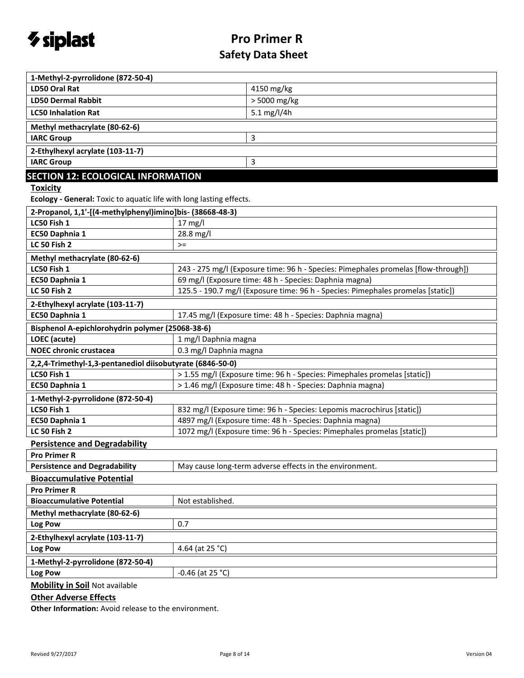

| 1-Methyl-2-pyrrolidone (872-50-4)                                   |                                                                                    |  |  |
|---------------------------------------------------------------------|------------------------------------------------------------------------------------|--|--|
| LD50 Oral Rat                                                       | 4150 mg/kg                                                                         |  |  |
| <b>LD50 Dermal Rabbit</b>                                           | > 5000 mg/kg                                                                       |  |  |
| <b>LC50 Inhalation Rat</b>                                          | 5.1 mg/l/4h                                                                        |  |  |
| Methyl methacrylate (80-62-6)                                       |                                                                                    |  |  |
| <b>IARC Group</b>                                                   | 3                                                                                  |  |  |
| 2-Ethylhexyl acrylate (103-11-7)                                    |                                                                                    |  |  |
| <b>IARC Group</b>                                                   | 3                                                                                  |  |  |
| <b>SECTION 12: ECOLOGICAL INFORMATION</b>                           |                                                                                    |  |  |
| <b>Toxicity</b>                                                     |                                                                                    |  |  |
| Ecology - General: Toxic to aquatic life with long lasting effects. |                                                                                    |  |  |
| 2-Propanol, 1,1'-[(4-methylphenyl)imino]bis- (38668-48-3)           |                                                                                    |  |  |
| LC50 Fish 1                                                         | $17$ mg/l                                                                          |  |  |
| EC50 Daphnia 1                                                      | 28.8 mg/l                                                                          |  |  |
| LC 50 Fish 2                                                        | $>=$                                                                               |  |  |
| Methyl methacrylate (80-62-6)                                       |                                                                                    |  |  |
| LC50 Fish 1                                                         | 243 - 275 mg/l (Exposure time: 96 h - Species: Pimephales promelas [flow-through]) |  |  |
| EC50 Daphnia 1                                                      | 69 mg/l (Exposure time: 48 h - Species: Daphnia magna)                             |  |  |
| <b>LC 50 Fish 2</b>                                                 | 125.5 - 190.7 mg/l (Exposure time: 96 h - Species: Pimephales promelas [static])   |  |  |
| 2-Ethylhexyl acrylate (103-11-7)                                    |                                                                                    |  |  |
| EC50 Daphnia 1                                                      | 17.45 mg/l (Exposure time: 48 h - Species: Daphnia magna)                          |  |  |
| Bisphenol A-epichlorohydrin polymer (25068-38-6)                    |                                                                                    |  |  |
| LOEC (acute)                                                        | 1 mg/l Daphnia magna                                                               |  |  |
| <b>NOEC chronic crustacea</b>                                       | 0.3 mg/l Daphnia magna                                                             |  |  |
| 2,2,4-Trimethyl-1,3-pentanediol diisobutyrate (6846-50-0)           |                                                                                    |  |  |
| LC50 Fish 1                                                         | > 1.55 mg/l (Exposure time: 96 h - Species: Pimephales promelas [static])          |  |  |
| EC50 Daphnia 1                                                      | > 1.46 mg/l (Exposure time: 48 h - Species: Daphnia magna)                         |  |  |
| 1-Methyl-2-pyrrolidone (872-50-4)                                   |                                                                                    |  |  |
| LC50 Fish 1                                                         | 832 mg/l (Exposure time: 96 h - Species: Lepomis macrochirus [static])             |  |  |
| EC50 Daphnia 1                                                      | 4897 mg/l (Exposure time: 48 h - Species: Daphnia magna)                           |  |  |
| <b>LC 50 Fish 2</b>                                                 | 1072 mg/l (Exposure time: 96 h - Species: Pimephales promelas [static])            |  |  |
| <b>Persistence and Degradability</b>                                |                                                                                    |  |  |
| <b>Pro Primer R</b>                                                 |                                                                                    |  |  |
| <b>Persistence and Degradability</b>                                | May cause long-term adverse effects in the environment.                            |  |  |
| <b>Bioaccumulative Potential</b>                                    |                                                                                    |  |  |
| <b>Pro Primer R</b>                                                 |                                                                                    |  |  |
| <b>Bioaccumulative Potential</b>                                    | Not established.                                                                   |  |  |
| Methyl methacrylate (80-62-6)                                       |                                                                                    |  |  |
| Log Pow                                                             | 0.7                                                                                |  |  |
| 2-Ethylhexyl acrylate (103-11-7)                                    |                                                                                    |  |  |
| Log Pow                                                             | 4.64 (at 25 °C)                                                                    |  |  |
| 1-Methyl-2-pyrrolidone (872-50-4)                                   |                                                                                    |  |  |
| Log Pow                                                             | $-0.46$ (at 25 °C)                                                                 |  |  |
| Mobility in Soil Not available                                      |                                                                                    |  |  |

### **Other Adverse Effects**

**Other Information:** Avoid release to the environment.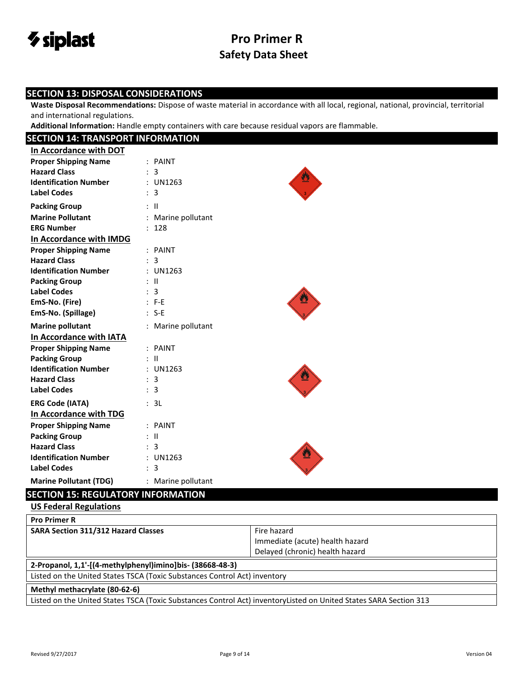

### **SECTION 13: DISPOSAL CONSIDERATIONS**

**Waste Disposal Recommendations:** Dispose of waste material in accordance with all local, regional, national, provincial, territorial and international regulations.

**Additional Information:** Handle empty containers with care because residual vapors are flammable.

| <b>SECTION 14: TRANSPORT INFORMATION</b>  |                    |  |
|-------------------------------------------|--------------------|--|
| In Accordance with DOT                    |                    |  |
| <b>Proper Shipping Name</b>               | : PAINT            |  |
| <b>Hazard Class</b>                       | : 3                |  |
| <b>Identification Number</b>              | : UN1263           |  |
| <b>Label Codes</b>                        | : 3                |  |
| <b>Packing Group</b>                      | $:$ $\mathbb{I}$   |  |
| <b>Marine Pollutant</b>                   | : Marine pollutant |  |
| <b>ERG Number</b>                         | : 128              |  |
| In Accordance with IMDG                   |                    |  |
| <b>Proper Shipping Name</b>               | : PAINT            |  |
| <b>Hazard Class</b>                       | : 3                |  |
| <b>Identification Number</b>              | : UN1263           |  |
| <b>Packing Group</b>                      | $\pm$ 11           |  |
| <b>Label Codes</b>                        | : 3                |  |
| EmS-No. (Fire)                            | $: F-E$            |  |
| EmS-No. (Spillage)                        | $: S-E$            |  |
| <b>Marine pollutant</b>                   | : Marine pollutant |  |
| In Accordance with IATA                   |                    |  |
| <b>Proper Shipping Name</b>               | : PAINT            |  |
| <b>Packing Group</b>                      | $:$ $\mathbb{I}$   |  |
| <b>Identification Number</b>              | : UN1263           |  |
| <b>Hazard Class</b>                       | : 3                |  |
| <b>Label Codes</b>                        | : 3                |  |
| <b>ERG Code (IATA)</b>                    | : 3L               |  |
| In Accordance with TDG                    |                    |  |
| <b>Proper Shipping Name</b>               | : PAINT            |  |
| <b>Packing Group</b>                      | $:$ $\mathbb{I}$   |  |
| <b>Hazard Class</b>                       | : 3                |  |
| <b>Identification Number</b>              | : UN1263           |  |
| <b>Label Codes</b>                        | : 3                |  |
| <b>Marine Pollutant (TDG)</b>             | : Marine pollutant |  |
| <b>SECTION 15: REGULATORY INFORMATION</b> |                    |  |

### **US Federal Regulations**

| <b>Pro Primer R</b>                                                                                               |                                 |  |
|-------------------------------------------------------------------------------------------------------------------|---------------------------------|--|
| <b>SARA Section 311/312 Hazard Classes</b>                                                                        | Fire hazard                     |  |
|                                                                                                                   | Immediate (acute) health hazard |  |
|                                                                                                                   | Delayed (chronic) health hazard |  |
| 2-Propanol, 1,1'-[(4-methylphenyl)imino]bis- (38668-48-3)                                                         |                                 |  |
| Listed on the United States TSCA (Toxic Substances Control Act) inventory                                         |                                 |  |
| Methyl methacrylate (80-62-6)                                                                                     |                                 |  |
| Listed on the United States TSCA (Toxic Substances Control Act) inventoryListed on United States SARA Section 313 |                                 |  |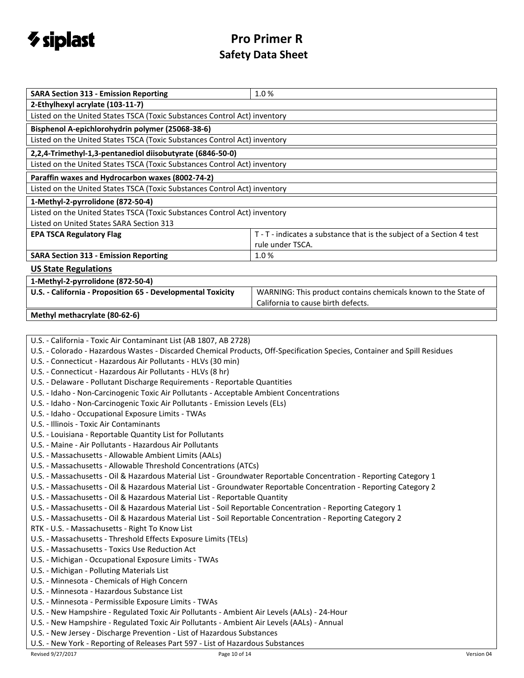

| <b>SARA Section 313 - Emission Reporting</b>                                                                                                                                                     | 1.0%                                                                  |  |  |  |
|--------------------------------------------------------------------------------------------------------------------------------------------------------------------------------------------------|-----------------------------------------------------------------------|--|--|--|
| 2-Ethylhexyl acrylate (103-11-7)                                                                                                                                                                 |                                                                       |  |  |  |
| Listed on the United States TSCA (Toxic Substances Control Act) inventory                                                                                                                        |                                                                       |  |  |  |
| Bisphenol A-epichlorohydrin polymer (25068-38-6)                                                                                                                                                 |                                                                       |  |  |  |
| Listed on the United States TSCA (Toxic Substances Control Act) inventory                                                                                                                        |                                                                       |  |  |  |
| 2,2,4-Trimethyl-1,3-pentanediol diisobutyrate (6846-50-0)                                                                                                                                        |                                                                       |  |  |  |
| Listed on the United States TSCA (Toxic Substances Control Act) inventory                                                                                                                        |                                                                       |  |  |  |
|                                                                                                                                                                                                  |                                                                       |  |  |  |
| Paraffin waxes and Hydrocarbon waxes (8002-74-2)                                                                                                                                                 |                                                                       |  |  |  |
| Listed on the United States TSCA (Toxic Substances Control Act) inventory                                                                                                                        |                                                                       |  |  |  |
| 1-Methyl-2-pyrrolidone (872-50-4)                                                                                                                                                                |                                                                       |  |  |  |
| Listed on the United States TSCA (Toxic Substances Control Act) inventory                                                                                                                        |                                                                       |  |  |  |
| Listed on United States SARA Section 313                                                                                                                                                         |                                                                       |  |  |  |
| <b>EPA TSCA Regulatory Flag</b>                                                                                                                                                                  | T - T - indicates a substance that is the subject of a Section 4 test |  |  |  |
|                                                                                                                                                                                                  | rule under TSCA.                                                      |  |  |  |
| <b>SARA Section 313 - Emission Reporting</b>                                                                                                                                                     | 1.0%                                                                  |  |  |  |
| <b>US State Regulations</b>                                                                                                                                                                      |                                                                       |  |  |  |
| 1-Methyl-2-pyrrolidone (872-50-4)                                                                                                                                                                |                                                                       |  |  |  |
| U.S. - California - Proposition 65 - Developmental Toxicity                                                                                                                                      | WARNING: This product contains chemicals known to the State of        |  |  |  |
|                                                                                                                                                                                                  | California to cause birth defects.                                    |  |  |  |
| Methyl methacrylate (80-62-6)                                                                                                                                                                    |                                                                       |  |  |  |
|                                                                                                                                                                                                  |                                                                       |  |  |  |
| U.S. - California - Toxic Air Contaminant List (AB 1807, AB 2728)                                                                                                                                |                                                                       |  |  |  |
| U.S. - Colorado - Hazardous Wastes - Discarded Chemical Products, Off-Specification Species, Container and Spill Residues                                                                        |                                                                       |  |  |  |
| U.S. - Connecticut - Hazardous Air Pollutants - HLVs (30 min)                                                                                                                                    |                                                                       |  |  |  |
| U.S. - Connecticut - Hazardous Air Pollutants - HLVs (8 hr)                                                                                                                                      |                                                                       |  |  |  |
| U.S. - Delaware - Pollutant Discharge Requirements - Reportable Quantities                                                                                                                       |                                                                       |  |  |  |
| U.S. - Idaho - Non-Carcinogenic Toxic Air Pollutants - Acceptable Ambient Concentrations                                                                                                         |                                                                       |  |  |  |
| U.S. - Idaho - Non-Carcinogenic Toxic Air Pollutants - Emission Levels (ELs)                                                                                                                     |                                                                       |  |  |  |
| U.S. - Idaho - Occupational Exposure Limits - TWAs                                                                                                                                               |                                                                       |  |  |  |
| U.S. - Illinois - Toxic Air Contaminants                                                                                                                                                         |                                                                       |  |  |  |
| U.S. - Louisiana - Reportable Quantity List for Pollutants                                                                                                                                       |                                                                       |  |  |  |
| U.S. - Maine - Air Pollutants - Hazardous Air Pollutants                                                                                                                                         |                                                                       |  |  |  |
| U.S. - Massachusetts - Allowable Ambient Limits (AALs)                                                                                                                                           |                                                                       |  |  |  |
| U.S. - Massachusetts - Allowable Threshold Concentrations (ATCs)                                                                                                                                 |                                                                       |  |  |  |
| U.S. - Massachusetts - Oil & Hazardous Material List - Groundwater Reportable Concentration - Reporting Category 1                                                                               |                                                                       |  |  |  |
| U.S. - Massachusetts - Oil & Hazardous Material List - Groundwater Reportable Concentration - Reporting Category 2<br>U.S. - Massachusetts - Oil & Hazardous Material List - Reportable Quantity |                                                                       |  |  |  |
| U.S. - Massachusetts - Oil & Hazardous Material List - Soil Reportable Concentration - Reporting Category 1                                                                                      |                                                                       |  |  |  |
| U.S. - Massachusetts - Oil & Hazardous Material List - Soil Reportable Concentration - Reporting Category 2                                                                                      |                                                                       |  |  |  |
| RTK - U.S. - Massachusetts - Right To Know List                                                                                                                                                  |                                                                       |  |  |  |
| U.S. - Massachusetts - Threshold Effects Exposure Limits (TELs)                                                                                                                                  |                                                                       |  |  |  |
| U.S. - Massachusetts - Toxics Use Reduction Act                                                                                                                                                  |                                                                       |  |  |  |
| U.S. - Michigan - Occupational Exposure Limits - TWAs                                                                                                                                            |                                                                       |  |  |  |
| U.S. - Michigan - Polluting Materials List                                                                                                                                                       |                                                                       |  |  |  |
| U.S. - Minnesota - Chemicals of High Concern                                                                                                                                                     |                                                                       |  |  |  |
| U.S. - Minnesota - Hazardous Substance List                                                                                                                                                      |                                                                       |  |  |  |
| U.S. - Minnesota - Permissible Exposure Limits - TWAs                                                                                                                                            |                                                                       |  |  |  |
| U.S. - New Hampshire - Regulated Toxic Air Pollutants - Ambient Air Levels (AALs) - 24-Hour                                                                                                      |                                                                       |  |  |  |
| U.S. - New Hampshire - Regulated Toxic Air Pollutants - Ambient Air Levels (AALs) - Annual                                                                                                       |                                                                       |  |  |  |
| U.S. - New Jersey - Discharge Prevention - List of Hazardous Substances                                                                                                                          |                                                                       |  |  |  |

U.S. - New York - Reporting of Releases Part 597 - List of Hazardous Substances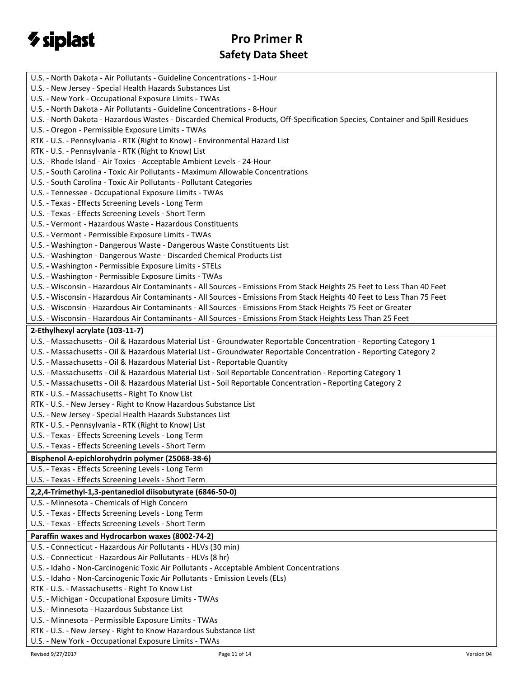

| U.S. - North Dakota - Air Pollutants - Guideline Concentrations - 1-Hour                                                      |
|-------------------------------------------------------------------------------------------------------------------------------|
| U.S. - New Jersey - Special Health Hazards Substances List                                                                    |
| U.S. - New York - Occupational Exposure Limits - TWAs                                                                         |
| U.S. - North Dakota - Air Pollutants - Guideline Concentrations - 8-Hour                                                      |
| U.S. - North Dakota - Hazardous Wastes - Discarded Chemical Products, Off-Specification Species, Container and Spill Residues |
| U.S. - Oregon - Permissible Exposure Limits - TWAs                                                                            |
| RTK - U.S. - Pennsylvania - RTK (Right to Know) - Environmental Hazard List                                                   |
| RTK - U.S. - Pennsylvania - RTK (Right to Know) List                                                                          |
| U.S. - Rhode Island - Air Toxics - Acceptable Ambient Levels - 24-Hour                                                        |
| U.S. - South Carolina - Toxic Air Pollutants - Maximum Allowable Concentrations                                               |
| U.S. - South Carolina - Toxic Air Pollutants - Pollutant Categories                                                           |
| U.S. - Tennessee - Occupational Exposure Limits - TWAs                                                                        |
| U.S. - Texas - Effects Screening Levels - Long Term                                                                           |
| U.S. - Texas - Effects Screening Levels - Short Term                                                                          |
| U.S. - Vermont - Hazardous Waste - Hazardous Constituents                                                                     |
| U.S. - Vermont - Permissible Exposure Limits - TWAs                                                                           |
| U.S. - Washington - Dangerous Waste - Dangerous Waste Constituents List                                                       |
| U.S. - Washington - Dangerous Waste - Discarded Chemical Products List                                                        |
| U.S. - Washington - Permissible Exposure Limits - STELs                                                                       |
| U.S. - Washington - Permissible Exposure Limits - TWAs                                                                        |
| U.S. - Wisconsin - Hazardous Air Contaminants - All Sources - Emissions From Stack Heights 25 Feet to Less Than 40 Feet       |
| U.S. - Wisconsin - Hazardous Air Contaminants - All Sources - Emissions From Stack Heights 40 Feet to Less Than 75 Feet       |
| U.S. - Wisconsin - Hazardous Air Contaminants - All Sources - Emissions From Stack Heights 75 Feet or Greater                 |
| U.S. - Wisconsin - Hazardous Air Contaminants - All Sources - Emissions From Stack Heights Less Than 25 Feet                  |
| 2-Ethylhexyl acrylate (103-11-7)                                                                                              |
| U.S. - Massachusetts - Oil & Hazardous Material List - Groundwater Reportable Concentration - Reporting Category 1            |
| U.S. - Massachusetts - Oil & Hazardous Material List - Groundwater Reportable Concentration - Reporting Category 2            |
| U.S. - Massachusetts - Oil & Hazardous Material List - Reportable Quantity                                                    |
| U.S. - Massachusetts - Oil & Hazardous Material List - Soil Reportable Concentration - Reporting Category 1                   |
| U.S. - Massachusetts - Oil & Hazardous Material List - Soil Reportable Concentration - Reporting Category 2                   |
| RTK - U.S. - Massachusetts - Right To Know List                                                                               |
| RTK - U.S. - New Jersey - Right to Know Hazardous Substance List                                                              |
| U.S. - New Jersey - Special Health Hazards Substances List                                                                    |
| RTK - U.S. - Pennsylvania - RTK (Right to Know) List                                                                          |
| U.S. - Texas - Effects Screening Levels - Long Term                                                                           |
| U.S. - Texas - Effects Screening Levels - Short Term                                                                          |
| Bisphenol A-epichlorohydrin polymer (25068-38-6)                                                                              |
| U.S. - Texas - Effects Screening Levels - Long Term                                                                           |
| U.S. - Texas - Effects Screening Levels - Short Term                                                                          |
| 2,2,4-Trimethyl-1,3-pentanediol diisobutyrate (6846-50-0)                                                                     |
| U.S. - Minnesota - Chemicals of High Concern                                                                                  |
|                                                                                                                               |
| U.S. - Texas - Effects Screening Levels - Long Term<br>U.S. - Texas - Effects Screening Levels - Short Term                   |
|                                                                                                                               |
| Paraffin waxes and Hydrocarbon waxes (8002-74-2)                                                                              |
| U.S. - Connecticut - Hazardous Air Pollutants - HLVs (30 min)                                                                 |
| U.S. - Connecticut - Hazardous Air Pollutants - HLVs (8 hr)                                                                   |
| U.S. - Idaho - Non-Carcinogenic Toxic Air Pollutants - Acceptable Ambient Concentrations                                      |
| U.S. - Idaho - Non-Carcinogenic Toxic Air Pollutants - Emission Levels (ELs)                                                  |
| RTK - U.S. - Massachusetts - Right To Know List                                                                               |
| U.S. - Michigan - Occupational Exposure Limits - TWAs                                                                         |
| U.S. - Minnesota - Hazardous Substance List                                                                                   |
| U.S. - Minnesota - Permissible Exposure Limits - TWAs                                                                         |
| RTK - U.S. - New Jersey - Right to Know Hazardous Substance List                                                              |
| U.S. - New York - Occupational Exposure Limits - TWAs                                                                         |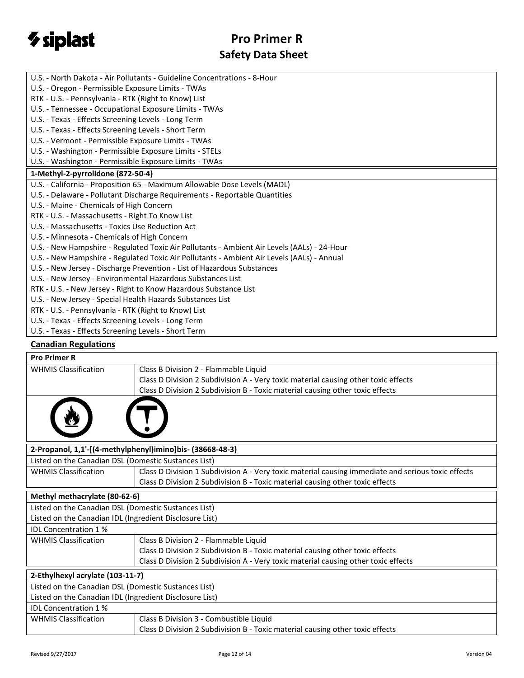

| U.S. - North Dakota - Air Pollutants - Guideline Concentrations - 8-Hour                    |
|---------------------------------------------------------------------------------------------|
| U.S. - Oregon - Permissible Exposure Limits - TWAs                                          |
| RTK - U.S. - Pennsylvania - RTK (Right to Know) List                                        |
| U.S. - Tennessee - Occupational Exposure Limits - TWAs                                      |
| U.S. - Texas - Effects Screening Levels - Long Term                                         |
| U.S. - Texas - Effects Screening Levels - Short Term                                        |
| U.S. - Vermont - Permissible Exposure Limits - TWAs                                         |
| U.S. - Washington - Permissible Exposure Limits - STELs                                     |
| U.S. - Washington - Permissible Exposure Limits - TWAs                                      |
| 1-Methyl-2-pyrrolidone (872-50-4)                                                           |
| U.S. - California - Proposition 65 - Maximum Allowable Dose Levels (MADL)                   |
| U.S. - Delaware - Pollutant Discharge Requirements - Reportable Quantities                  |
| U.S. - Maine - Chemicals of High Concern                                                    |
| RTK - U.S. - Massachusetts - Right To Know List                                             |
| U.S. - Massachusetts - Toxics Use Reduction Act                                             |
| U.S. - Minnesota - Chemicals of High Concern                                                |
| U.S. - New Hampshire - Regulated Toxic Air Pollutants - Ambient Air Levels (AALs) - 24-Hour |
| U.S. - New Hampshire - Regulated Toxic Air Pollutants - Ambient Air Levels (AALs) - Annual  |
| U.S. - New Jersey - Discharge Prevention - List of Hazardous Substances                     |
| U.S. - New Jersey - Environmental Hazardous Substances List                                 |
| RTK - U.S. - New Jersey - Right to Know Hazardous Substance List                            |
| U.S. - New Jersey - Special Health Hazards Substances List                                  |
| RTK - U.S. - Pennsylvania - RTK (Right to Know) List                                        |
| U.S. - Texas - Effects Screening Levels - Long Term                                         |
| U.S. - Texas - Effects Screening Levels - Short Term                                        |
|                                                                                             |

### **Canadian Regulations**

| <b>Pro Primer R</b>                                     |                                                                                                    |  |
|---------------------------------------------------------|----------------------------------------------------------------------------------------------------|--|
| <b>WHMIS Classification</b>                             | Class B Division 2 - Flammable Liquid                                                              |  |
|                                                         | Class D Division 2 Subdivision A - Very toxic material causing other toxic effects                 |  |
|                                                         | Class D Division 2 Subdivision B - Toxic material causing other toxic effects                      |  |
|                                                         |                                                                                                    |  |
|                                                         | 2-Propanol, 1,1'-[(4-methylphenyl)imino]bis- (38668-48-3)                                          |  |
| Listed on the Canadian DSL (Domestic Sustances List)    |                                                                                                    |  |
| <b>WHMIS Classification</b>                             | Class D Division 1 Subdivision A - Very toxic material causing immediate and serious toxic effects |  |
|                                                         | Class D Division 2 Subdivision B - Toxic material causing other toxic effects                      |  |
| Methyl methacrylate (80-62-6)                           |                                                                                                    |  |
| Listed on the Canadian DSL (Domestic Sustances List)    |                                                                                                    |  |
| Listed on the Canadian IDL (Ingredient Disclosure List) |                                                                                                    |  |
| <b>IDL Concentration 1%</b>                             |                                                                                                    |  |
| <b>WHMIS Classification</b>                             | Class B Division 2 - Flammable Liquid                                                              |  |
|                                                         | Class D Division 2 Subdivision B - Toxic material causing other toxic effects                      |  |
|                                                         | Class D Division 2 Subdivision A - Very toxic material causing other toxic effects                 |  |
| 2-Ethylhexyl acrylate (103-11-7)                        |                                                                                                    |  |
| Listed on the Canadian DSL (Domestic Sustances List)    |                                                                                                    |  |
| Listed on the Canadian IDL (Ingredient Disclosure List) |                                                                                                    |  |
| <b>IDL Concentration 1%</b>                             |                                                                                                    |  |
| <b>WHMIS Classification</b>                             | Class B Division 3 - Combustible Liquid                                                            |  |
|                                                         | Class D Division 2 Subdivision B - Toxic material causing other toxic effects                      |  |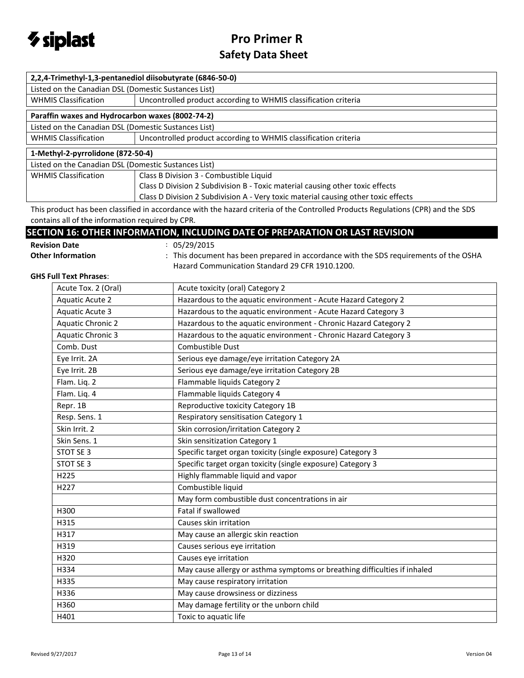

| 2,2,4-Trimethyl-1,3-pentanediol diisobutyrate (6846-50-0) |                                                                                                                                                                                                                                                                                                                                                                                                                                          |  |
|-----------------------------------------------------------|------------------------------------------------------------------------------------------------------------------------------------------------------------------------------------------------------------------------------------------------------------------------------------------------------------------------------------------------------------------------------------------------------------------------------------------|--|
| Listed on the Canadian DSL (Domestic Sustances List)      |                                                                                                                                                                                                                                                                                                                                                                                                                                          |  |
| <b>WHMIS Classification</b>                               | Uncontrolled product according to WHMIS classification criteria                                                                                                                                                                                                                                                                                                                                                                          |  |
| Paraffin waxes and Hydrocarbon waxes (8002-74-2)          |                                                                                                                                                                                                                                                                                                                                                                                                                                          |  |
| Listed on the Canadian DSL (Domestic Sustances List)      |                                                                                                                                                                                                                                                                                                                                                                                                                                          |  |
| <b>WHMIS Classification</b>                               | Uncontrolled product according to WHMIS classification criteria                                                                                                                                                                                                                                                                                                                                                                          |  |
| 1-Methyl-2-pyrrolidone (872-50-4)                         |                                                                                                                                                                                                                                                                                                                                                                                                                                          |  |
| Listed on the Canadian DSL (Domestic Sustances List)      |                                                                                                                                                                                                                                                                                                                                                                                                                                          |  |
| <b>WHMIS Classification</b>                               | Class B Division 3 - Combustible Liquid                                                                                                                                                                                                                                                                                                                                                                                                  |  |
|                                                           | Class D Division 2 Subdivision B - Toxic material causing other toxic effects                                                                                                                                                                                                                                                                                                                                                            |  |
|                                                           | Class D Division 2 Subdivision A - Very toxic material causing other toxic effects                                                                                                                                                                                                                                                                                                                                                       |  |
|                                                           | $\mathcal{L}(\mathbf{r}) = \mathbf{r}(\mathbf{r}) = \mathbf{r}(\mathbf{r}(\mathbf{r}(\mathbf{r}(\mathbf{r}(\mathbf{r}(\mathbf{r}(\mathbf{r}(\mathbf{r}(\mathbf{r}(\mathbf{r}(\mathbf{r}(\mathbf{r}(\mathbf{r}(\mathbf{r}(\mathbf{r}(\mathbf{r}(\mathbf{r}(\mathbf{r}(\mathbf{r}(\mathbf{r}(\mathbf{r}(\mathbf{r}(\mathbf{r}(\mathbf{r}(\mathbf{r}(\mathbf{r}(\mathbf{r}(\mathbf{r}(\mathbf{r}(\mathbf{r}(\mathbf{r}(\math$<br>$\sqrt{2}$ |  |

This product has been classified in accordance with the hazard criteria of the Controlled Products Regulations (CPR) and the SDS contains all of the information required by CPR.

### **SECTION 16: OTHER INFORMATION, INCLUDING DATE OF PREPARATION OR LAST REVISION**

**Revision Date** : 05/29/2015

Other Information : This document has been prepared in accordance with the SDS requirements of the OSHA Hazard Communication Standard 29 CFR 1910.1200.

#### **GHS Full Text Phrases**:

| Acute Tox. 2 (Oral)      | Acute toxicity (oral) Category 2                                          |
|--------------------------|---------------------------------------------------------------------------|
| Aquatic Acute 2          | Hazardous to the aquatic environment - Acute Hazard Category 2            |
| <b>Aquatic Acute 3</b>   | Hazardous to the aquatic environment - Acute Hazard Category 3            |
| <b>Aquatic Chronic 2</b> | Hazardous to the aquatic environment - Chronic Hazard Category 2          |
| <b>Aquatic Chronic 3</b> | Hazardous to the aquatic environment - Chronic Hazard Category 3          |
| Comb. Dust               | <b>Combustible Dust</b>                                                   |
| Eye Irrit. 2A            | Serious eye damage/eye irritation Category 2A                             |
| Eye Irrit. 2B            | Serious eye damage/eye irritation Category 2B                             |
| Flam. Lig. 2             | Flammable liquids Category 2                                              |
| Flam. Liq. 4             | Flammable liquids Category 4                                              |
| Repr. 1B                 | Reproductive toxicity Category 1B                                         |
| Resp. Sens. 1            | Respiratory sensitisation Category 1                                      |
| Skin Irrit. 2            | Skin corrosion/irritation Category 2                                      |
| Skin Sens. 1             | Skin sensitization Category 1                                             |
| STOT SE 3                | Specific target organ toxicity (single exposure) Category 3               |
| STOT SE 3                | Specific target organ toxicity (single exposure) Category 3               |
| H225                     | Highly flammable liquid and vapor                                         |
| H227                     | Combustible liquid                                                        |
|                          | May form combustible dust concentrations in air                           |
| H300                     | Fatal if swallowed                                                        |
| H315                     | Causes skin irritation                                                    |
| H317                     | May cause an allergic skin reaction                                       |
| H319                     | Causes serious eye irritation                                             |
| H320                     | Causes eye irritation                                                     |
| H334                     | May cause allergy or asthma symptoms or breathing difficulties if inhaled |
| H335                     | May cause respiratory irritation                                          |
| H336                     | May cause drowsiness or dizziness                                         |
| H360                     | May damage fertility or the unborn child                                  |
| H401                     | Toxic to aquatic life                                                     |
|                          |                                                                           |